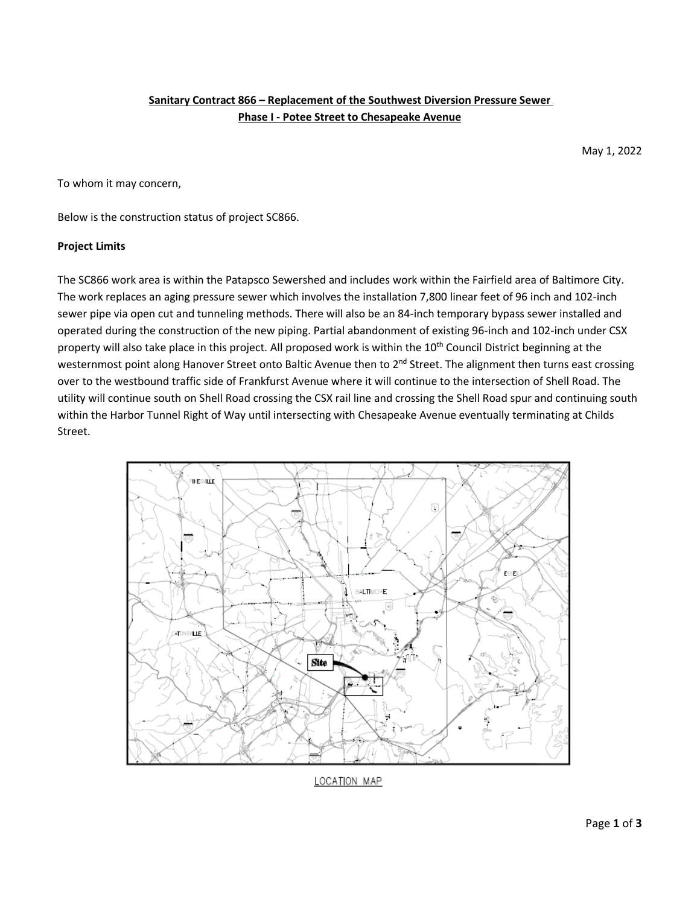# **Sanitary Contract 866 – Replacement of the Southwest Diversion Pressure Sewer Phase I - Potee Street to Chesapeake Avenue**

May 1, 2022

To whom it may concern,

Below is the construction status of project SC866.

### **Project Limits**

The SC866 work area is within the Patapsco Sewershed and includes work within the Fairfield area of Baltimore City. The work replaces an aging pressure sewer which involves the installation 7,800 linear feet of 96 inch and 102-inch sewer pipe via open cut and tunneling methods. There will also be an 84-inch temporary bypass sewer installed and operated during the construction of the new piping. Partial abandonment of existing 96-inch and 102-inch under CSX property will also take place in this project. All proposed work is within the 10<sup>th</sup> Council District beginning at the westernmost point along Hanover Street onto Baltic Avenue then to 2<sup>nd</sup> Street. The alignment then turns east crossing over to the westbound traffic side of Frankfurst Avenue where it will continue to the intersection of Shell Road. The utility will continue south on Shell Road crossing the CSX rail line and crossing the Shell Road spur and continuing south within the Harbor Tunnel Right of Way until intersecting with Chesapeake Avenue eventually terminating at Childs Street.



LOCATION MAP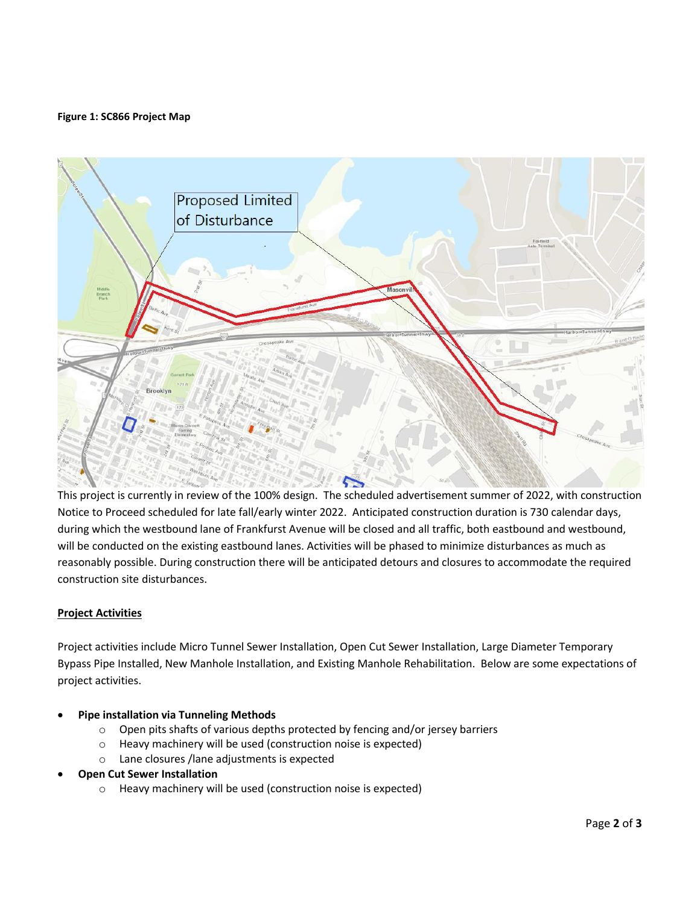### **Figure 1: SC866 Project Map**



This project is currently in review of the 100% design. The scheduled advertisement summer of 2022, with construction Notice to Proceed scheduled for late fall/early winter 2022. Anticipated construction duration is 730 calendar days, during which the westbound lane of Frankfurst Avenue will be closed and all traffic, both eastbound and westbound, will be conducted on the existing eastbound lanes. Activities will be phased to minimize disturbances as much as reasonably possible. During construction there will be anticipated detours and closures to accommodate the required construction site disturbances.

### **Project Activities**

Project activities include Micro Tunnel Sewer Installation, Open Cut Sewer Installation, Large Diameter Temporary Bypass Pipe Installed, New Manhole Installation, and Existing Manhole Rehabilitation. Below are some expectations of project activities.

# • **Pipe installation via Tunneling Methods**

- o Open pits shafts of various depths protected by fencing and/or jersey barriers
- o Heavy machinery will be used (construction noise is expected)
- o Lane closures /lane adjustments is expected
- **Open Cut Sewer Installation**
	- o Heavy machinery will be used (construction noise is expected)